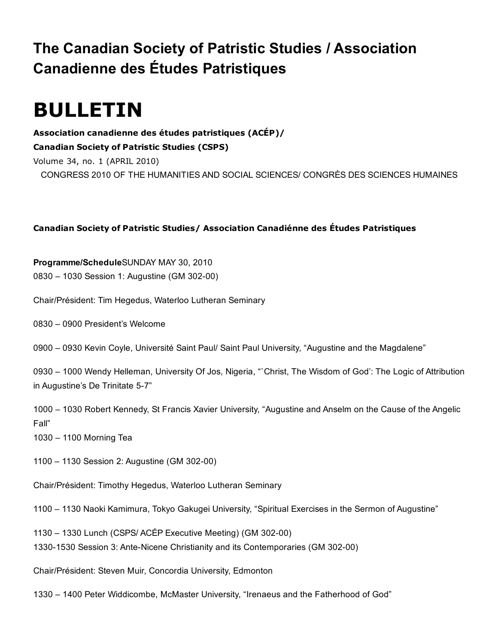# The Canadian Society of Patristic Studies / Association Canadienne des Études Patristiques

# BULLETIN

Association canadienne des études patristiques (ACÉP)/ Canadian Society of Patristic Studies (CSPS) Volume 34, no. 1 (APRIL 2010) CONGRESS 2010 OF THE HUMANITIES AND SOCIAL SCIENCES/ CONGRÈS DES SCIENCES HUMAINES

# Canadian Society of Patristic Studies/ Association Canadiénne des Études Patristiques

Programme/ScheduleSUNDAY MAY 30, 2010 0830 – 1030 Session 1: Augustine (GM 302-00)

Chair/Président: Tim Hegedus, Waterloo Lutheran Seminary

0830 – 0900 President's Welcome

0900 – 0930 Kevin Coyle, Université Saint Paul/ Saint Paul University, "Augustine and the Magdalene"

0930 – 1000 Wendy Helleman, University Of Jos, Nigeria, "`Christ, The Wisdom of God': The Logic of Attribution in Augustine's De Trinitate 5-7"

1000 – 1030 Robert Kennedy, St Francis Xavier University, "Augustine and Anselm on the Cause of the Angelic Fall"

1030 – 1100 Morning Tea

1100 – 1130 Session 2: Augustine (GM 302-00)

Chair/Président: Timothy Hegedus, Waterloo Lutheran Seminary

1100 – 1130 Naoki Kamimura, Tokyo Gakugei University, "Spiritual Exercises in the Sermon of Augustine"

1130 – 1330 Lunch (CSPS/ ACÉP Executive Meeting) (GM 302-00) 1330-1530 Session 3: Ante-Nicene Christianity and its Contemporaries (GM 302-00)

Chair/Président: Steven Muir, Concordia University, Edmonton

1330 – 1400 Peter Widdicombe, McMaster University, "Irenaeus and the Fatherhood of God"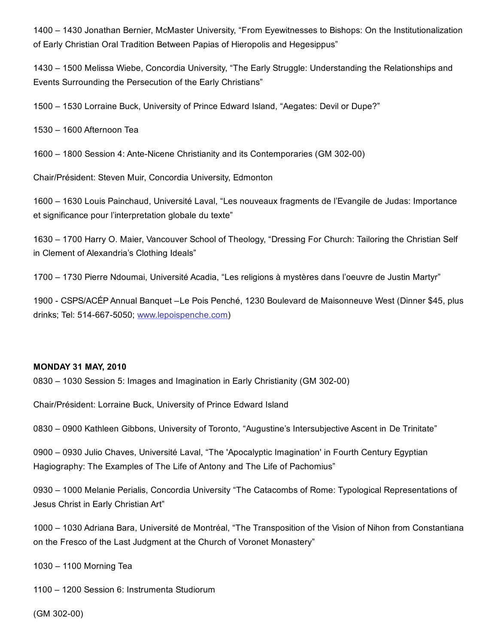1400 – 1430 Jonathan Bernier, McMaster University, "From Eyewitnesses to Bishops: On the Institutionalization of Early Christian Oral Tradition Between Papias of Hieropolis and Hegesippus"

1430 – 1500 Melissa Wiebe, Concordia University, "The Early Struggle: Understanding the Relationships and Events Surrounding the Persecution of the Early Christians"

1500 – 1530 Lorraine Buck, University of Prince Edward Island, "Aegates: Devil or Dupe?"

1530 – 1600 Afternoon Tea

1600 – 1800 Session 4: Ante-Nicene Christianity and its Contemporaries (GM 302-00)

Chair/Président: Steven Muir, Concordia University, Edmonton

1600 – 1630 Louis Painchaud, Université Laval, "Les nouveaux fragments de l'Evangile de Judas: Importance et significance pour l'interpretation globale du texte"

1630 – 1700 Harry O. Maier, Vancouver School of Theology, "Dressing For Church: Tailoring the Christian Self in Clement of Alexandria's Clothing Ideals"

1700 – 1730 Pierre Ndoumai, Université Acadia, "Les religions à mystères dans l'oeuvre de Justin Martyr"

1900 CSPS/ACÉP Annual Banquet –Le Pois Penché, 1230 Boulevard de Maisonneuve West (Dinner \$45, plus drinks; Tel: 514-667-5050; [www.lepoispenche.com](http://web.archive.org/web/20150201000926/http://www.lepoispenche.com/))

#### MONDAY 31 MAY, 2010

0830 – 1030 Session 5: Images and Imagination in Early Christianity (GM 30200)

Chair/Président: Lorraine Buck, University of Prince Edward Island

0830 – 0900 Kathleen Gibbons, University of Toronto, "Augustine's Intersubjective Ascent in De Trinitate"

0900 – 0930 Julio Chaves, Université Laval, "The 'Apocalyptic Imagination' in Fourth Century Egyptian Hagiography: The Examples of The Life of Antony and The Life of Pachomius"

0930 – 1000 Melanie Perialis, Concordia University "The Catacombs of Rome: Typological Representations of Jesus Christ in Early Christian Art"

1000 – 1030 Adriana Bara, Université de Montréal, "The Transposition of the Vision of Nihon from Constantiana on the Fresco of the Last Judgment at the Church of Voronet Monastery"

1030 – 1100 Morning Tea

1100 – 1200 Session 6: Instrumenta Studiorum

 $(GM 302-00)$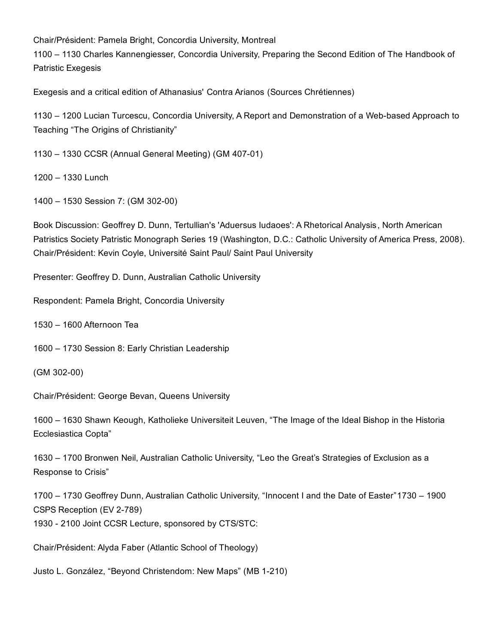Chair/Président: Pamela Bright, Concordia University, Montreal

1100 – 1130 Charles Kannengiesser, Concordia University, Preparing the Second Edition of The Handbook of Patristic Exegesis

Exegesis and a critical edition of Athanasius' Contra Arianos (Sources Chrétiennes)

1130 – 1200 Lucian Turcescu, Concordia University, A Report and Demonstration of a Web-based Approach to Teaching "The Origins of Christianity"

1130 – 1330 CCSR (Annual General Meeting) (GM 407-01)

1200 – 1330 Lunch

1400 - 1530 Session 7: (GM 302-00)

Book Discussion: Geoffrey D. Dunn, Tertullian's 'Aduersus Iudaoes': A Rhetorical Analysis, North American Patristics Society Patristic Monograph Series 19 (Washington, D.C.: Catholic University of America Press, 2008). Chair/Président: Kevin Coyle, Université Saint Paul/ Saint Paul University

Presenter: Geoffrey D. Dunn, Australian Catholic University

Respondent: Pamela Bright, Concordia University

1530 – 1600 Afternoon Tea

1600 – 1730 Session 8: Early Christian Leadership

 $(GM 302-00)$ 

Chair/Président: George Bevan, Queens University

1600 – 1630 Shawn Keough, Katholieke Universiteit Leuven, "The Image of the Ideal Bishop in the Historia Ecclesiastica Copta"

1630 – 1700 Bronwen Neil, Australian Catholic University, "Leo the Great's Strategies of Exclusion as a Response to Crisis"

1700 – 1730 Geoffrey Dunn, Australian Catholic University, "Innocent I and the Date of Easter"1730 – 1900 CSPS Reception (EV 2-789)

1930 2100 Joint CCSR Lecture, sponsored by CTS/STC:

Chair/Président: Alyda Faber (Atlantic School of Theology)

Justo L. González, "Beyond Christendom: New Maps" (MB 1-210)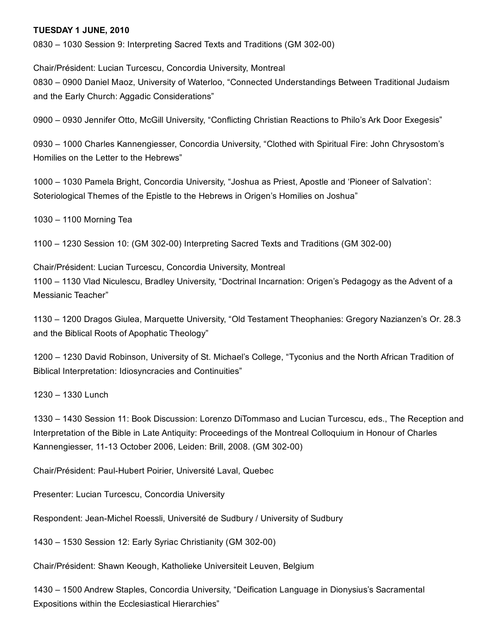#### TUESDAY 1 JUNE, 2010

0830 – 1030 Session 9: Interpreting Sacred Texts and Traditions (GM 30200)

Chair/Président: Lucian Turcescu, Concordia University, Montreal 0830 – 0900 Daniel Maoz, University of Waterloo, "Connected Understandings Between Traditional Judaism and the Early Church: Aggadic Considerations"

0900 – 0930 Jennifer Otto, McGill University, "Conflicting Christian Reactions to Philo's Ark Door Exegesis"

0930 – 1000 Charles Kannengiesser, Concordia University, "Clothed with Spiritual Fire: John Chrysostom's Homilies on the Letter to the Hebrews"

1000 – 1030 Pamela Bright, Concordia University, "Joshua as Priest, Apostle and 'Pioneer of Salvation': Soteriological Themes of the Epistle to the Hebrews in Origen's Homilies on Joshua"

1030 – 1100 Morning Tea

1100 – 1230 Session 10: (GM 30200) Interpreting Sacred Texts and Traditions (GM 30200)

Chair/Président: Lucian Turcescu, Concordia University, Montreal 1100 – 1130 Vlad Niculescu, Bradley University, "Doctrinal Incarnation: Origen's Pedagogy as the Advent of a Messianic Teacher"

1130 – 1200 Dragos Giulea, Marquette University, "Old Testament Theophanies: Gregory Nazianzen's Or. 28.3 and the Biblical Roots of Apophatic Theology"

1200 – 1230 David Robinson, University of St. Michael's College, "Tyconius and the North African Tradition of Biblical Interpretation: Idiosyncracies and Continuities"

1230 – 1330 Lunch

1330 – 1430 Session 11: Book Discussion: Lorenzo DiTommaso and Lucian Turcescu, eds., The Reception and Interpretation of the Bible in Late Antiquity: Proceedings of the Montreal Colloquium in Honour of Charles Kannengiesser, 11-13 October 2006, Leiden: Brill, 2008. (GM 302-00)

Chair/Président: Paul-Hubert Poirier, Université Laval, Quebec

Presenter: Lucian Turcescu, Concordia University

Respondent: Jean-Michel Roessli, Université de Sudbury / University of Sudbury

1430 – 1530 Session 12: Early Syriac Christianity (GM 302-00)

Chair/Président: Shawn Keough, Katholieke Universiteit Leuven, Belgium

1430 – 1500 Andrew Staples, Concordia University, "Deification Language in Dionysius's Sacramental Expositions within the Ecclesiastical Hierarchies"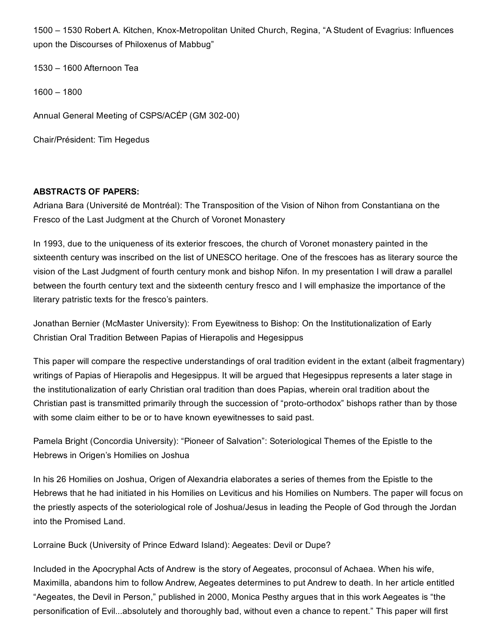1500 – 1530 Robert A. Kitchen, Knox-Metropolitan United Church, Regina, "A Student of Evagrius: Influences upon the Discourses of Philoxenus of Mabbug"

1530 – 1600 Afternoon Tea

1600 – 1800

Annual General Meeting of CSPS/ACÉP (GM 302-00)

Chair/Président: Tim Hegedus

## ABSTRACTS OF PAPERS:

Adriana Bara (Université de Montréal): The Transposition of the Vision of Nihon from Constantiana on the Fresco of the Last Judgment at the Church of Voronet Monastery

In 1993, due to the uniqueness of its exterior frescoes, the church of Voronet monastery painted in the sixteenth century was inscribed on the list of UNESCO heritage. One of the frescoes has as literary source the vision of the Last Judgment of fourth century monk and bishop Nifon. In my presentation I will draw a parallel between the fourth century text and the sixteenth century fresco and I will emphasize the importance of the literary patristic texts for the fresco's painters.

Jonathan Bernier (McMaster University): From Eyewitness to Bishop: On the Institutionalization of Early Christian Oral Tradition Between Papias of Hierapolis and Hegesippus

This paper will compare the respective understandings of oral tradition evident in the extant (albeit fragmentary) writings of Papias of Hierapolis and Hegesippus. It will be argued that Hegesippus represents a later stage in the institutionalization of early Christian oral tradition than does Papias, wherein oral tradition about the Christian past is transmitted primarily through the succession of "proto-orthodox" bishops rather than by those with some claim either to be or to have known eyewitnesses to said past.

Pamela Bright (Concordia University): "Pioneer of Salvation": Soteriological Themes of the Epistle to the Hebrews in Origen's Homilies on Joshua

In his 26 Homilies on Joshua, Origen of Alexandria elaborates a series of themes from the Epistle to the Hebrews that he had initiated in his Homilies on Leviticus and his Homilies on Numbers. The paper will focus on the priestly aspects of the soteriological role of Joshua/Jesus in leading the People of God through the Jordan into the Promised Land.

Lorraine Buck (University of Prince Edward Island): Aegeates: Devil or Dupe?

Included in the Apocryphal Acts of Andrew is the story of Aegeates, proconsul of Achaea. When his wife, Maximilla, abandons him to follow Andrew, Aegeates determines to put Andrew to death. In her article entitled "Aegeates, the Devil in Person," published in 2000, Monica Pesthy argues that in this work Aegeates is "the personification of Evil...absolutely and thoroughly bad, without even a chance to repent." This paper will first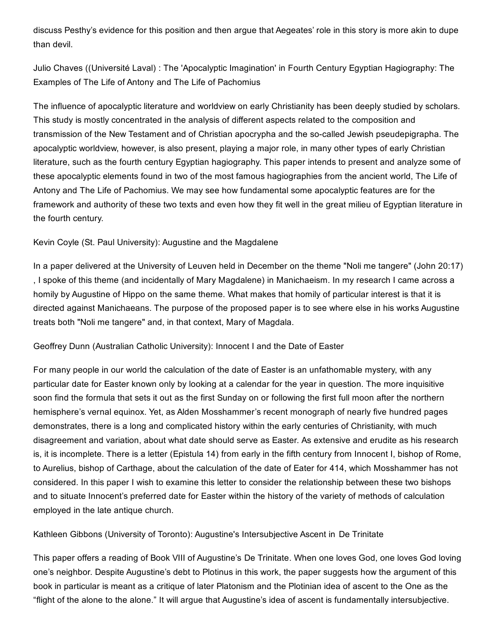discuss Pesthy's evidence for this position and then argue that Aegeates' role in this story is more akin to dupe than devil.

Julio Chaves ((Université Laval) : The 'Apocalyptic Imagination' in Fourth Century Egyptian Hagiography: The Examples of The Life of Antony and The Life of Pachomius

The influence of apocalyptic literature and worldview on early Christianity has been deeply studied by scholars. This study is mostly concentrated in the analysis of different aspects related to the composition and transmission of the New Testament and of Christian apocrypha and the so-called Jewish pseudepigrapha. The apocalyptic worldview, however, is also present, playing a major role, in many other types of early Christian literature, such as the fourth century Egyptian hagiography. This paper intends to present and analyze some of these apocalyptic elements found in two of the most famous hagiographies from the ancient world, The Life of Antony and The Life of Pachomius. We may see how fundamental some apocalyptic features are for the framework and authority of these two texts and even how they fit well in the great milieu of Egyptian literature in the fourth century.

Kevin Coyle (St. Paul University): Augustine and the Magdalene

In a paper delivered at the University of Leuven held in December on the theme "Noli me tangere" (John 20:17) , I spoke of this theme (and incidentally of Mary Magdalene) in Manichaeism. In my research I came across a homily by Augustine of Hippo on the same theme. What makes that homily of particular interest is that it is directed against Manichaeans. The purpose of the proposed paper is to see where else in his works Augustine treats both "Noli me tangere" and, in that context, Mary of Magdala.

Geoffrey Dunn (Australian Catholic University): Innocent I and the Date of Easter

For many people in our world the calculation of the date of Easter is an unfathomable mystery, with any particular date for Easter known only by looking at a calendar for the year in question. The more inquisitive soon find the formula that sets it out as the first Sunday on or following the first full moon after the northern hemisphere's vernal equinox. Yet, as Alden Mosshammer's recent monograph of nearly five hundred pages demonstrates, there is a long and complicated history within the early centuries of Christianity, with much disagreement and variation, about what date should serve as Easter. As extensive and erudite as his research is, it is incomplete. There is a letter (Epistula 14) from early in the fifth century from Innocent I, bishop of Rome, to Aurelius, bishop of Carthage, about the calculation of the date of Eater for 414, which Mosshammer has not considered. In this paper I wish to examine this letter to consider the relationship between these two bishops and to situate Innocent's preferred date for Easter within the history of the variety of methods of calculation employed in the late antique church.

Kathleen Gibbons (University of Toronto): Augustine's Intersubjective Ascent in De Trinitate

This paper offers a reading of Book VIII of Augustine's De Trinitate. When one loves God, one loves God loving one's neighbor. Despite Augustine's debt to Plotinus in this work, the paper suggests how the argument of this book in particular is meant as a critique of later Platonism and the Plotinian idea of ascent to the One as the "flight of the alone to the alone." It will argue that Augustine's idea of ascent is fundamentally intersubjective.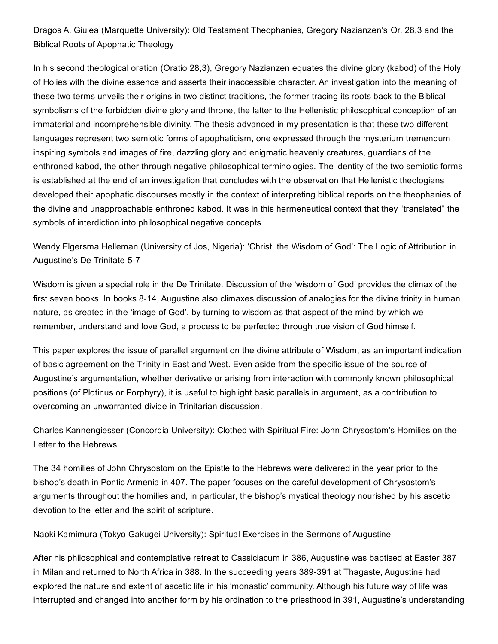Dragos A. Giulea (Marquette University): Old Testament Theophanies, Gregory Nazianzen's Or. 28,3 and the Biblical Roots of Apophatic Theology

In his second theological oration (Oratio 28,3), Gregory Nazianzen equates the divine glory (kabod) of the Holy of Holies with the divine essence and asserts their inaccessible character. An investigation into the meaning of these two terms unveils their origins in two distinct traditions, the former tracing its roots back to the Biblical symbolisms of the forbidden divine glory and throne, the latter to the Hellenistic philosophical conception of an immaterial and incomprehensible divinity. The thesis advanced in my presentation is that these two different languages represent two semiotic forms of apophaticism, one expressed through the mysterium tremendum inspiring symbols and images of fire, dazzling glory and enigmatic heavenly creatures, guardians of the enthroned kabod, the other through negative philosophical terminologies. The identity of the two semiotic forms is established at the end of an investigation that concludes with the observation that Hellenistic theologians developed their apophatic discourses mostly in the context of interpreting biblical reports on the theophanies of the divine and unapproachable enthroned kabod. It was in this hermeneutical context that they "translated" the symbols of interdiction into philosophical negative concepts.

Wendy Elgersma Helleman (University of Jos, Nigeria): 'Christ, the Wisdom of God': The Logic of Attribution in Augustine's De Trinitate 5-7

Wisdom is given a special role in the De Trinitate. Discussion of the 'wisdom of God' provides the climax of the first seven books. In books 8-14, Augustine also climaxes discussion of analogies for the divine trinity in human nature, as created in the 'image of God', by turning to wisdom as that aspect of the mind by which we remember, understand and love God, a process to be perfected through true vision of God himself.

This paper explores the issue of parallel argument on the divine attribute of Wisdom, as an important indication of basic agreement on the Trinity in East and West. Even aside from the specific issue of the source of Augustine's argumentation, whether derivative or arising from interaction with commonly known philosophical positions (of Plotinus or Porphyry), it is useful to highlight basic parallels in argument, as a contribution to overcoming an unwarranted divide in Trinitarian discussion.

Charles Kannengiesser (Concordia University): Clothed with Spiritual Fire: John Chrysostom's Homilies on the Letter to the Hebrews

The 34 homilies of John Chrysostom on the Epistle to the Hebrews were delivered in the year prior to the bishop's death in Pontic Armenia in 407. The paper focuses on the careful development of Chrysostom's arguments throughout the homilies and, in particular, the bishop's mystical theology nourished by his ascetic devotion to the letter and the spirit of scripture.

Naoki Kamimura (Tokyo Gakugei University): Spiritual Exercises in the Sermons of Augustine

After his philosophical and contemplative retreat to Cassiciacum in 386, Augustine was baptised at Easter 387 in Milan and returned to North Africa in 388. In the succeeding years 389-391 at Thagaste, Augustine had explored the nature and extent of ascetic life in his 'monastic' community. Although his future way of life was interrupted and changed into another form by his ordination to the priesthood in 391, Augustine's understanding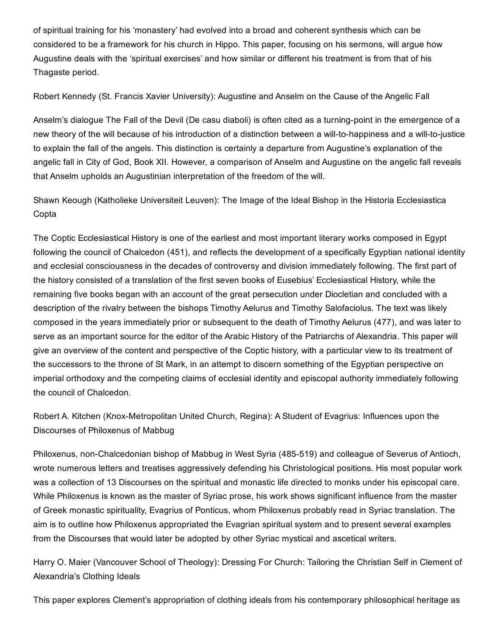of spiritual training for his 'monastery' had evolved into a broad and coherent synthesis which can be considered to be a framework for his church in Hippo. This paper, focusing on his sermons, will argue how Augustine deals with the 'spiritual exercises' and how similar or different his treatment is from that of his Thagaste period.

Robert Kennedy (St. Francis Xavier University): Augustine and Anselm on the Cause of the Angelic Fall

Anselm's dialogue The Fall of the Devil (De casu diaboli) is often cited as a turning-point in the emergence of a new theory of the will because of his introduction of a distinction between a will-to-happiness and a will-to-justice to explain the fall of the angels. This distinction is certainly a departure from Augustine's explanation of the angelic fall in City of God, Book XII. However, a comparison of Anselm and Augustine on the angelic fall reveals that Anselm upholds an Augustinian interpretation of the freedom of the will.

Shawn Keough (Katholieke Universiteit Leuven): The Image of the Ideal Bishop in the Historia Ecclesiastica Copta

The Coptic Ecclesiastical History is one of the earliest and most important literary works composed in Egypt following the council of Chalcedon (451), and reflects the development of a specifically Egyptian national identity and ecclesial consciousness in the decades of controversy and division immediately following. The first part of the history consisted of a translation of the first seven books of Eusebius' Ecclesiastical History, while the remaining five books began with an account of the great persecution under Diocletian and concluded with a description of the rivalry between the bishops Timothy Aelurus and Timothy Salofaciolus. The text was likely composed in the years immediately prior or subsequent to the death of Timothy Aelurus (477), and was later to serve as an important source for the editor of the Arabic History of the Patriarchs of Alexandria. This paper will give an overview of the content and perspective of the Coptic history, with a particular view to its treatment of the successors to the throne of St Mark, in an attempt to discern something of the Egyptian perspective on imperial orthodoxy and the competing claims of ecclesial identity and episcopal authority immediately following the council of Chalcedon.

Robert A. Kitchen (Knox-Metropolitan United Church, Regina): A Student of Evagrius: Influences upon the Discourses of Philoxenus of Mabbug

Philoxenus, non-Chalcedonian bishop of Mabbug in West Syria (485-519) and colleague of Severus of Antioch, wrote numerous letters and treatises aggressively defending his Christological positions. His most popular work was a collection of 13 Discourses on the spiritual and monastic life directed to monks under his episcopal care. While Philoxenus is known as the master of Syriac prose, his work shows significant influence from the master of Greek monastic spirituality, Evagrius of Ponticus, whom Philoxenus probably read in Syriac translation. The aim is to outline how Philoxenus appropriated the Evagrian spiritual system and to present several examples from the Discourses that would later be adopted by other Syriac mystical and ascetical writers.

Harry O. Maier (Vancouver School of Theology): Dressing For Church: Tailoring the Christian Self in Clement of Alexandria's Clothing Ideals

This paper explores Clement's appropriation of clothing ideals from his contemporary philosophical heritage as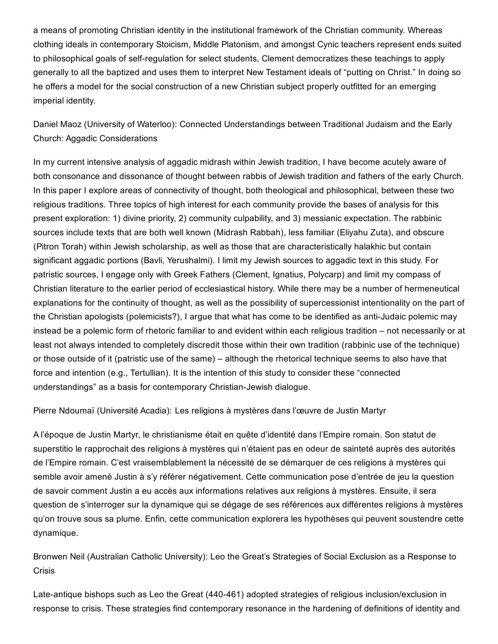a means of promoting Christian identity in the institutional framework of the Christian community. Whereas clothing ideals in contemporary Stoicism, Middle Platonism, and amongst Cynic teachers represent ends suited to philosophical goals of self-regulation for select students, Clement democratizes these teachings to apply generally to all the baptized and uses them to interpret New Testament ideals of "putting on Christ." In doing so he offers a model for the social construction of a new Christian subject properly outfitted for an emerging imperial identity.

Daniel Maoz (University of Waterloo): Connected Understandings between Traditional Judaism and the Early Church: Aggadic Considerations

In my current intensive analysis of aggadic midrash within Jewish tradition, I have become acutely aware of both consonance and dissonance of thought between rabbis of Jewish tradition and fathers of the early Church. In this paper I explore areas of connectivity of thought, both theological and philosophical, between these two religious traditions. Three topics of high interest for each community provide the bases of analysis for this present exploration: 1) divine priority, 2) community culpability, and 3) messianic expectation. The rabbinic sources include texts that are both well known (Midrash Rabbah), less familiar (Eliyahu Zuta), and obscure (Pitron Torah) within Jewish scholarship, as well as those that are characteristically halakhic but contain significant aggadic portions (Bavli, Yerushalmi). I limit my Jewish sources to aggadic text in this study. For patristic sources, I engage only with Greek Fathers (Clement, Ignatius, Polycarp) and limit my compass of Christian literature to the earlier period of ecclesiastical history. While there may be a number of hermeneutical explanations for the continuity of thought, as well as the possibility of supercessionist intentionality on the part of the Christian apologists (polemicists?), I argue that what has come to be identified as anti-Judaic polemic may instead be a polemic form of rhetoric familiar to and evident within each religious tradition – not necessarily or at least not always intended to completely discredit those within their own tradition (rabbinic use of the technique) or those outside of it (patristic use of the same) – although the rhetorical technique seems to also have that force and intention (e.g., Tertullian). It is the intention of this study to consider these "connected understandings" as a basis for contemporary Christian-Jewish dialogue.

Pierre Ndoumaï (Université Acadia): Les religions à mystères dans l'œuvre de Justin Martyr

A l'époque de Justin Martyr, le christianisme était en quête d'identité dans l'Empire romain. Son statut de superstitio le rapprochait des religions à mystères qui n'étaient pas en odeur de sainteté auprès des autorités de l'Empire romain. C'est vraisemblablement la nécessité de se démarquer de ces religions à mystères qui semble avoir amené Justin à s'y référer négativement. Cette communication pose d'entrée de jeu la question de savoir comment Justin a eu accès aux informations relatives aux religions à mystères. Ensuite, il sera question de s'interroger sur la dynamique qui se dégage de ses références aux différentes religions à mystères qu'on trouve sous sa plume. Enfin, cette communication explorera les hypothèses qui peuvent soustendre cette dynamique.

Bronwen Neil (Australian Catholic University): Leo the Great's Strategies of Social Exclusion as a Response to Crisis

Late-antique bishops such as Leo the Great (440-461) adopted strategies of religious inclusion/exclusion in response to crisis. These strategies find contemporary resonance in the hardening of definitions of identity and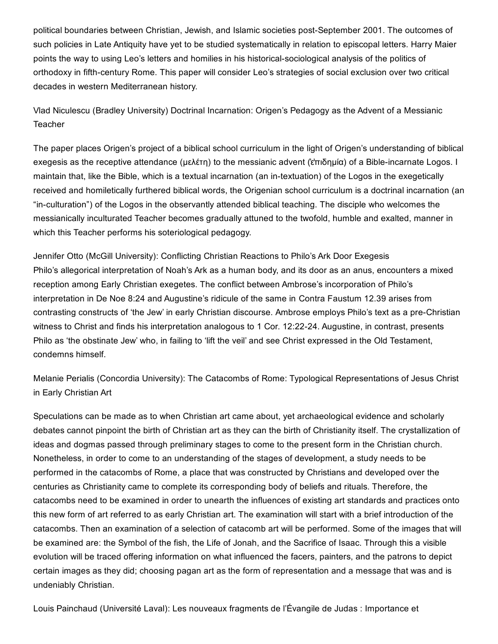political boundaries between Christian, Jewish, and Islamic societies post-September 2001. The outcomes of such policies in Late Antiquity have yet to be studied systematically in relation to episcopal letters. Harry Maier points the way to using Leo's letters and homilies in his historical-sociological analysis of the politics of orthodoxy in fifth-century Rome. This paper will consider Leo's strategies of social exclusion over two critical decades in western Mediterranean history.

Vlad Niculescu (Bradley University) Doctrinal Incarnation: Origen's Pedagogy as the Advent of a Messianic **Teacher** 

The paper places Origen's project of a biblical school curriculum in the light of Origen's understanding of biblical exegesis as the receptive attendance (μελέτη) to the messianic advent (επιδημία) of a Bible-incarnate Logos. I maintain that, like the Bible, which is a textual incarnation (an in-textuation) of the Logos in the exegetically received and homiletically furthered biblical words, the Origenian school curriculum is a doctrinal incarnation (an "inculturation") of the Logos in the observantly attended biblical teaching. The disciple who welcomes the messianically inculturated Teacher becomes gradually attuned to the twofold, humble and exalted, manner in which this Teacher performs his soteriological pedagogy.

Jennifer Otto (McGill University): Conflicting Christian Reactions to Philo's Ark Door Exegesis Philo's allegorical interpretation of Noah's Ark as a human body, and its door as an anus, encounters a mixed reception among Early Christian exegetes. The conflict between Ambrose's incorporation of Philo's interpretation in De Noe 8:24 and Augustine's ridicule of the same in Contra Faustum 12.39 arises from contrasting constructs of 'the Jew' in early Christian discourse. Ambrose employs Philo's text as a pre-Christian witness to Christ and finds his interpretation analogous to 1 Cor. 12:22-24. Augustine, in contrast, presents Philo as 'the obstinate Jew' who, in failing to 'lift the veil' and see Christ expressed in the Old Testament, condemns himself.

Melanie Perialis (Concordia University): The Catacombs of Rome: Typological Representations of Jesus Christ in Early Christian Art

Speculations can be made as to when Christian art came about, yet archaeological evidence and scholarly debates cannot pinpoint the birth of Christian art as they can the birth of Christianity itself. The crystallization of ideas and dogmas passed through preliminary stages to come to the present form in the Christian church. Nonetheless, in order to come to an understanding of the stages of development, a study needs to be performed in the catacombs of Rome, a place that was constructed by Christians and developed over the centuries as Christianity came to complete its corresponding body of beliefs and rituals. Therefore, the catacombs need to be examined in order to unearth the influences of existing art standards and practices onto this new form of art referred to as early Christian art. The examination will start with a brief introduction of the catacombs. Then an examination of a selection of catacomb art will be performed. Some of the images that will be examined are: the Symbol of the fish, the Life of Jonah, and the Sacrifice of Isaac. Through this a visible evolution will be traced offering information on what influenced the facers, painters, and the patrons to depict certain images as they did; choosing pagan art as the form of representation and a message that was and is undeniably Christian.

Louis Painchaud (Université Laval): Les nouveaux fragments de l'Évangile de Judas : Importance et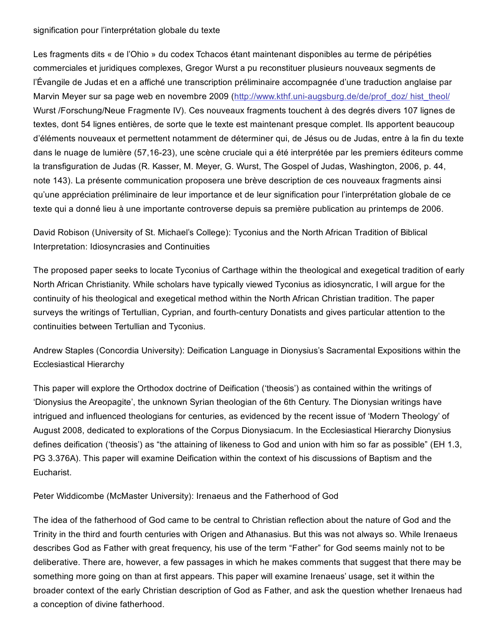#### signification pour l'interprétation globale du texte

Les fragments dits « de l'Ohio » du codex Tchacos étant maintenant disponibles au terme de péripéties commerciales et juridiques complexes, Gregor Wurst a pu reconstituer plusieurs nouveaux segments de l'Évangile de Judas et en a affiché une transcription préliminaire accompagnée d'une traduction anglaise par Marvin Meyer sur sa page web en novembre 2009 (http://www.kthf.uni-augsburg.de/de/prof\_doz/ hist\_theol/ Wurst /Forschung/Neue Fragmente IV). Ces nouveaux fragments touchent à des degrés divers 107 lignes de textes, dont 54 lignes entières, de sorte que le texte est maintenant presque complet. Ils apportent beaucoup d'éléments nouveaux et permettent notamment de déterminer qui, de Jésus ou de Judas, entre à la fin du texte dans le nuage de lumière (57,1623), une scène cruciale qui a été interprétée par les premiers éditeurs comme la transfiguration de Judas (R. Kasser, M. Meyer, G. Wurst, The Gospel of Judas, Washington, 2006, p. 44, note 143). La présente communication proposera une brève description de ces nouveaux fragments ainsi qu'une appréciation préliminaire de leur importance et de leur signification pour l'interprétation globale de ce texte qui a donné lieu à une importante controverse depuis sa première publication au printemps de 2006.

David Robison (University of St. Michael's College): Tyconius and the North African Tradition of Biblical Interpretation: Idiosyncrasies and Continuities

The proposed paper seeks to locate Tyconius of Carthage within the theological and exegetical tradition of early North African Christianity. While scholars have typically viewed Tyconius as idiosyncratic, I will argue for the continuity of his theological and exegetical method within the North African Christian tradition. The paper surveys the writings of Tertullian, Cyprian, and fourth-century Donatists and gives particular attention to the continuities between Tertullian and Tyconius.

Andrew Staples (Concordia University): Deification Language in Dionysius's Sacramental Expositions within the Ecclesiastical Hierarchy

This paper will explore the Orthodox doctrine of Deification ('theosis') as contained within the writings of 'Dionysius the Areopagite', the unknown Syrian theologian of the 6th Century. The Dionysian writings have intrigued and influenced theologians for centuries, as evidenced by the recent issue of 'Modern Theology' of August 2008, dedicated to explorations of the Corpus Dionysiacum. In the Ecclesiastical Hierarchy Dionysius defines deification ('theosis') as "the attaining of likeness to God and union with him so far as possible" (EH 1.3, PG 3.376A). This paper will examine Deification within the context of his discussions of Baptism and the Eucharist.

Peter Widdicombe (McMaster University): Irenaeus and the Fatherhood of God

The idea of the fatherhood of God came to be central to Christian reflection about the nature of God and the Trinity in the third and fourth centuries with Origen and Athanasius. But this was not always so. While Irenaeus describes God as Father with great frequency, his use of the term "Father" for God seems mainly not to be deliberative. There are, however, a few passages in which he makes comments that suggest that there may be something more going on than at first appears. This paper will examine Irenaeus' usage, set it within the broader context of the early Christian description of God as Father, and ask the question whether Irenaeus had a conception of divine fatherhood.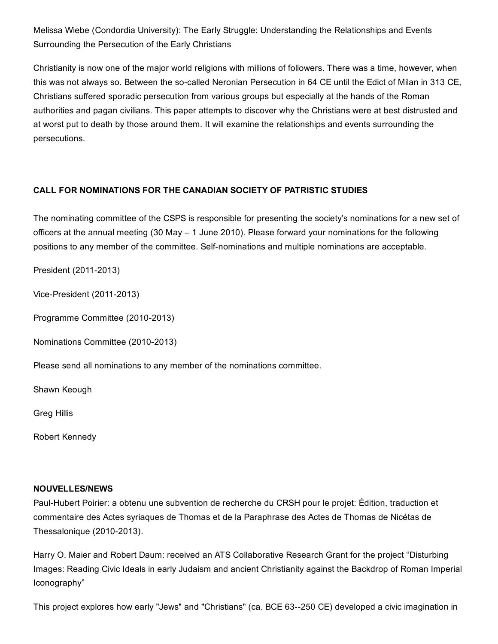Melissa Wiebe (Condordia University): The Early Struggle: Understanding the Relationships and Events Surrounding the Persecution of the Early Christians

Christianity is now one of the major world religions with millions of followers. There was a time, however, when this was not always so. Between the so-called Neronian Persecution in 64 CE until the Edict of Milan in 313 CE, Christians suffered sporadic persecution from various groups but especially at the hands of the Roman authorities and pagan civilians. This paper attempts to discover why the Christians were at best distrusted and at worst put to death by those around them. It will examine the relationships and events surrounding the persecutions.

# CALL FOR NOMINATIONS FOR THE CANADIAN SOCIETY OF PATRISTIC STUDIES

The nominating committee of the CSPS is responsible for presenting the society's nominations for a new set of officers at the annual meeting (30 May – 1 June 2010). Please forward your nominations for the following positions to any member of the committee. Self-nominations and multiple nominations are acceptable.

President (2011-2013)

Vice-President (2011-2013)

Programme Committee (2010-2013)

Nominations Committee (2010-2013)

Please send all nominations to any member of the nominations committee.

Shawn Keough

Greg Hillis

Robert Kennedy

#### NOUVELLES/NEWS

PaulHubert Poirier: a obtenu une subvention de recherche du CRSH pour le projet: Édition, traduction et commentaire des Actes syriaques de Thomas et de la Paraphrase des Actes de Thomas de Nicétas de Thessalonique  $(2010-2013)$ .

Harry O. Maier and Robert Daum: received an ATS Collaborative Research Grant for the project "Disturbing Images: Reading Civic Ideals in early Judaism and ancient Christianity against the Backdrop of Roman Imperial Iconography"

This project explores how early "Jews" and "Christians" (ca. BCE 63--250 CE) developed a civic imagination in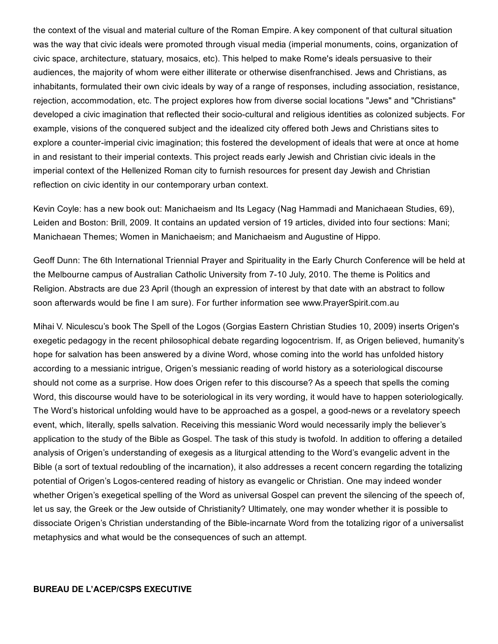the context of the visual and material culture of the Roman Empire. A key component of that cultural situation was the way that civic ideals were promoted through visual media (imperial monuments, coins, organization of civic space, architecture, statuary, mosaics, etc). This helped to make Rome's ideals persuasive to their audiences, the majority of whom were either illiterate or otherwise disenfranchised. Jews and Christians, as inhabitants, formulated their own civic ideals by way of a range of responses, including association, resistance, rejection, accommodation, etc. The project explores how from diverse social locations "Jews" and "Christians" developed a civic imagination that reflected their socio-cultural and religious identities as colonized subjects. For example, visions of the conquered subject and the idealized city offered both Jews and Christians sites to explore a counter-imperial civic imagination; this fostered the development of ideals that were at once at home in and resistant to their imperial contexts. This project reads early Jewish and Christian civic ideals in the imperial context of the Hellenized Roman city to furnish resources for present day Jewish and Christian reflection on civic identity in our contemporary urban context.

Kevin Coyle: has a new book out: Manichaeism and Its Legacy (Nag Hammadi and Manichaean Studies, 69), Leiden and Boston: Brill, 2009. It contains an updated version of 19 articles, divided into four sections: Mani; Manichaean Themes; Women in Manichaeism; and Manichaeism and Augustine of Hippo.

Geoff Dunn: The 6th International Triennial Prayer and Spirituality in the Early Church Conference will be held at the Melbourne campus of Australian Catholic University from 7-10 July, 2010. The theme is Politics and Religion. Abstracts are due 23 April (though an expression of interest by that date with an abstract to follow soon afterwards would be fine I am sure). For further information see www.PrayerSpirit.com.au

Mihai V. Niculescu's book The Spell of the Logos (Gorgias Eastern Christian Studies 10, 2009) inserts Origen's exegetic pedagogy in the recent philosophical debate regarding logocentrism. If, as Origen believed, humanity's hope for salvation has been answered by a divine Word, whose coming into the world has unfolded history according to a messianic intrigue, Origen's messianic reading of world history as a soteriological discourse should not come as a surprise. How does Origen refer to this discourse? As a speech that spells the coming Word, this discourse would have to be soteriological in its very wording, it would have to happen soteriologically. The Word's historical unfolding would have to be approached as a gospel, a good-news or a revelatory speech event, which, literally, spells salvation. Receiving this messianic Word would necessarily imply the believer's application to the study of the Bible as Gospel. The task of this study is twofold. In addition to offering a detailed analysis of Origen's understanding of exegesis as a liturgical attending to the Word's evangelic advent in the Bible (a sort of textual redoubling of the incarnation), it also addresses a recent concern regarding the totalizing potential of Origen's Logos-centered reading of history as evangelic or Christian. One may indeed wonder whether Origen's exegetical spelling of the Word as universal Gospel can prevent the silencing of the speech of, let us say, the Greek or the Jew outside of Christianity? Ultimately, one may wonder whether it is possible to dissociate Origen's Christian understanding of the Bible-incarnate Word from the totalizing rigor of a universalist metaphysics and what would be the consequences of such an attempt.

#### BUREAU DE L'ACEP/CSPS EXECUTIVE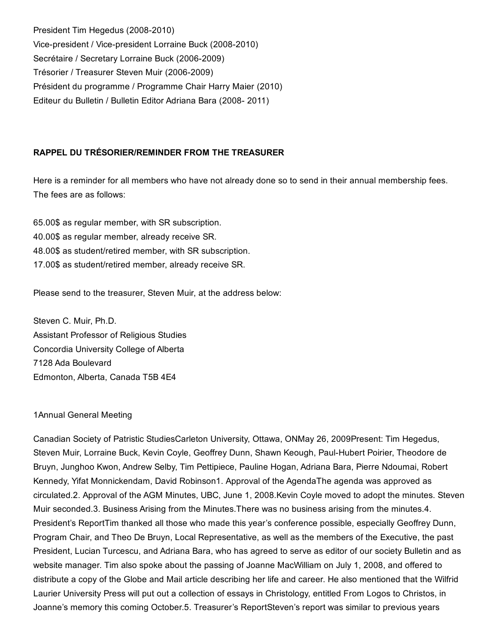President Tim Hegedus (2008-2010) Vice-president / Vice-president Lorraine Buck (2008-2010) Secrétaire / Secretary Lorraine Buck (2006-2009) Trésorier / Treasurer Steven Muir (2006-2009) Président du programme / Programme Chair Harry Maier (2010) Editeur du Bulletin / Bulletin Editor Adriana Bara (2008-2011)

## RAPPEL DU TRÉSORIER/REMINDER FROM THE TREASURER

Here is a reminder for all members who have not already done so to send in their annual membership fees. The fees are as follows:

65.00\$ as regular member, with SR subscription. 40.00\$ as regular member, already receive SR. 48.00\$ as student/retired member, with SR subscription. 17.00\$ as student/retired member, already receive SR.

Please send to the treasurer, Steven Muir, at the address below:

Steven C. Muir, Ph.D. Assistant Professor of Religious Studies Concordia University College of Alberta 7128 Ada Boulevard Edmonton, Alberta, Canada T5B 4E4

#### 1Annual General Meeting

Canadian Society of Patristic StudiesCarleton University, Ottawa, ONMay 26, 2009Present: Tim Hegedus, Steven Muir, Lorraine Buck, Kevin Coyle, Geoffrey Dunn, Shawn Keough, Paul-Hubert Poirier, Theodore de Bruyn, Junghoo Kwon, Andrew Selby, Tim Pettipiece, Pauline Hogan, Adriana Bara, Pierre Ndoumai, Robert Kennedy, Yifat Monnickendam, David Robinson1. Approval of the AgendaThe agenda was approved as circulated.2. Approval of the AGM Minutes, UBC, June 1, 2008.Kevin Coyle moved to adopt the minutes. Steven Muir seconded.3. Business Arising from the Minutes.There was no business arising from the minutes.4. President's ReportTim thanked all those who made this year's conference possible, especially Geoffrey Dunn, Program Chair, and Theo De Bruyn, Local Representative, as well as the members of the Executive, the past President, Lucian Turcescu, and Adriana Bara, who has agreed to serve as editor of our society Bulletin and as website manager. Tim also spoke about the passing of Joanne MacWilliam on July 1, 2008, and offered to distribute a copy of the Globe and Mail article describing her life and career. He also mentioned that the Wilfrid Laurier University Press will put out a collection of essays in Christology, entitled From Logos to Christos, in Joanne's memory this coming October.5. Treasurer's ReportSteven's report was similar to previous years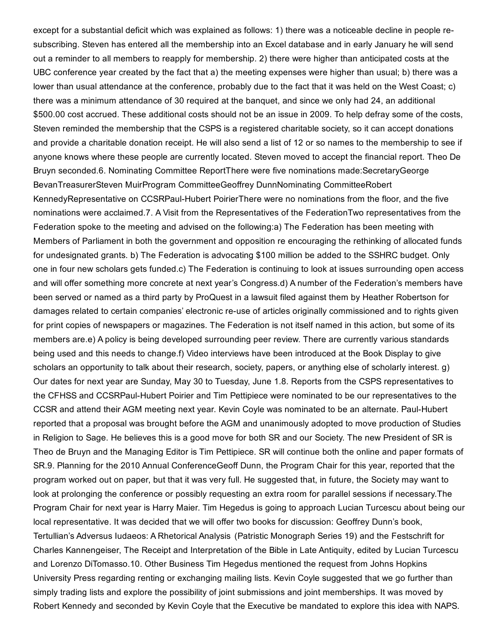except for a substantial deficit which was explained as follows: 1) there was a noticeable decline in people resubscribing. Steven has entered all the membership into an Excel database and in early January he will send out a reminder to all members to reapply for membership. 2) there were higher than anticipated costs at the UBC conference year created by the fact that a) the meeting expenses were higher than usual; b) there was a lower than usual attendance at the conference, probably due to the fact that it was held on the West Coast; c) there was a minimum attendance of 30 required at the banquet, and since we only had 24, an additional \$500.00 cost accrued. These additional costs should not be an issue in 2009. To help defray some of the costs, Steven reminded the membership that the CSPS is a registered charitable society, so it can accept donations and provide a charitable donation receipt. He will also send a list of 12 or so names to the membership to see if anyone knows where these people are currently located. Steven moved to accept the financial report. Theo De Bruyn seconded.6. Nominating Committee ReportThere were five nominations made:SecretaryGeorge BevanTreasurerSteven MuirProgram CommitteeGeoffrey DunnNominating CommitteeRobert KennedyRepresentative on CCSRPaul-Hubert PoirierThere were no nominations from the floor, and the five nominations were acclaimed.7. A Visit from the Representatives of the FederationTwo representatives from the Federation spoke to the meeting and advised on the following:a) The Federation has been meeting with Members of Parliament in both the government and opposition re encouraging the rethinking of allocated funds for undesignated grants. b) The Federation is advocating \$100 million be added to the SSHRC budget. Only one in four new scholars gets funded.c) The Federation is continuing to look at issues surrounding open access and will offer something more concrete at next year's Congress.d) A number of the Federation's members have been served or named as a third party by ProQuest in a lawsuit filed against them by Heather Robertson for damages related to certain companies' electronic re-use of articles originally commissioned and to rights given for print copies of newspapers or magazines. The Federation is not itself named in this action, but some of its members are.e) A policy is being developed surrounding peer review. There are currently various standards being used and this needs to change.f) Video interviews have been introduced at the Book Display to give scholars an opportunity to talk about their research, society, papers, or anything else of scholarly interest, q) Our dates for next year are Sunday, May 30 to Tuesday, June 1.8. Reports from the CSPS representatives to the CFHSS and CCSRPaul-Hubert Poirier and Tim Pettipiece were nominated to be our representatives to the CCSR and attend their AGM meeting next year. Kevin Coyle was nominated to be an alternate. Paul-Hubert reported that a proposal was brought before the AGM and unanimously adopted to move production of Studies in Religion to Sage. He believes this is a good move for both SR and our Society. The new President of SR is Theo de Bruyn and the Managing Editor is Tim Pettipiece. SR will continue both the online and paper formats of SR.9. Planning for the 2010 Annual ConferenceGeoff Dunn, the Program Chair for this year, reported that the program worked out on paper, but that it was very full. He suggested that, in future, the Society may want to look at prolonging the conference or possibly requesting an extra room for parallel sessions if necessary.The Program Chair for next year is Harry Maier. Tim Hegedus is going to approach Lucian Turcescu about being our local representative. It was decided that we will offer two books for discussion: Geoffrey Dunn's book, Tertullian's Adversus Iudaeos: A Rhetorical Analysis (Patristic Monograph Series 19) and the Festschrift for Charles Kannengeiser, The Receipt and Interpretation of the Bible in Late Antiquity, edited by Lucian Turcescu and Lorenzo DiTomasso.10. Other Business Tim Hegedus mentioned the request from Johns Hopkins University Press regarding renting or exchanging mailing lists. Kevin Coyle suggested that we go further than simply trading lists and explore the possibility of joint submissions and joint memberships. It was moved by Robert Kennedy and seconded by Kevin Coyle that the Executive be mandated to explore this idea with NAPS.